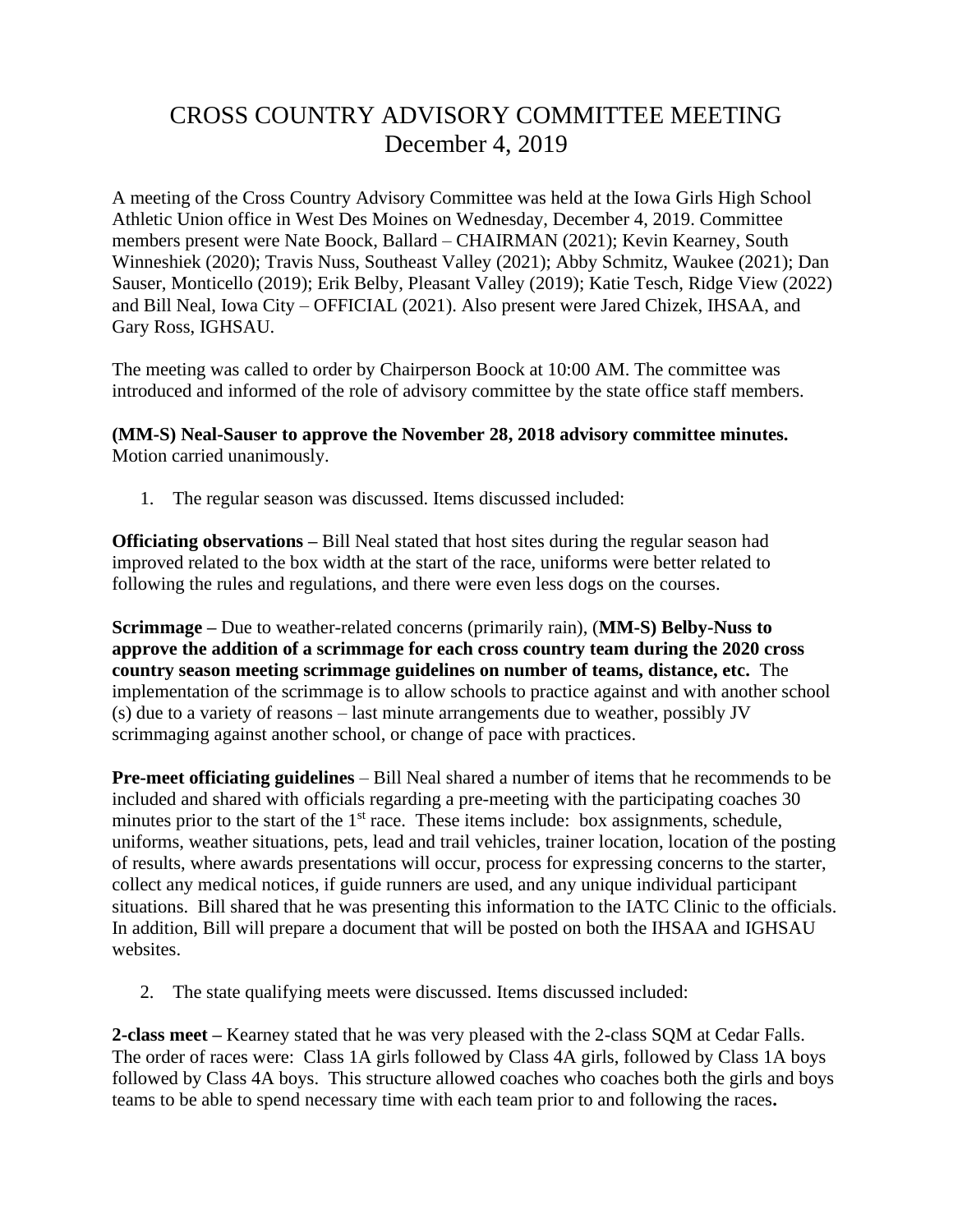## CROSS COUNTRY ADVISORY COMMITTEE MEETING December 4, 2019

A meeting of the Cross Country Advisory Committee was held at the Iowa Girls High School Athletic Union office in West Des Moines on Wednesday, December 4, 2019. Committee members present were Nate Boock, Ballard – CHAIRMAN (2021); Kevin Kearney, South Winneshiek (2020); Travis Nuss, Southeast Valley (2021); Abby Schmitz, Waukee (2021); Dan Sauser, Monticello (2019); Erik Belby, Pleasant Valley (2019); Katie Tesch, Ridge View (2022) and Bill Neal, Iowa City – OFFICIAL (2021). Also present were Jared Chizek, IHSAA, and Gary Ross, IGHSAU.

The meeting was called to order by Chairperson Boock at 10:00 AM. The committee was introduced and informed of the role of advisory committee by the state office staff members.

**(MM-S) Neal-Sauser to approve the November 28, 2018 advisory committee minutes.**  Motion carried unanimously.

1. The regular season was discussed. Items discussed included:

**Officiating observations –** Bill Neal stated that host sites during the regular season had improved related to the box width at the start of the race, uniforms were better related to following the rules and regulations, and there were even less dogs on the courses.

**Scrimmage –** Due to weather-related concerns (primarily rain), (**MM-S) Belby-Nuss to approve the addition of a scrimmage for each cross country team during the 2020 cross country season meeting scrimmage guidelines on number of teams, distance, etc.** The implementation of the scrimmage is to allow schools to practice against and with another school (s) due to a variety of reasons – last minute arrangements due to weather, possibly JV scrimmaging against another school, or change of pace with practices.

**Pre-meet officiating guidelines** – Bill Neal shared a number of items that he recommends to be included and shared with officials regarding a pre-meeting with the participating coaches 30 minutes prior to the start of the 1<sup>st</sup> race. These items include: box assignments, schedule, uniforms, weather situations, pets, lead and trail vehicles, trainer location, location of the posting of results, where awards presentations will occur, process for expressing concerns to the starter, collect any medical notices, if guide runners are used, and any unique individual participant situations. Bill shared that he was presenting this information to the IATC Clinic to the officials. In addition, Bill will prepare a document that will be posted on both the IHSAA and IGHSAU websites.

2. The state qualifying meets were discussed. Items discussed included:

**2-class meet –** Kearney stated that he was very pleased with the 2-class SQM at Cedar Falls. The order of races were: Class 1A girls followed by Class 4A girls, followed by Class 1A boys followed by Class 4A boys. This structure allowed coaches who coaches both the girls and boys teams to be able to spend necessary time with each team prior to and following the races**.**